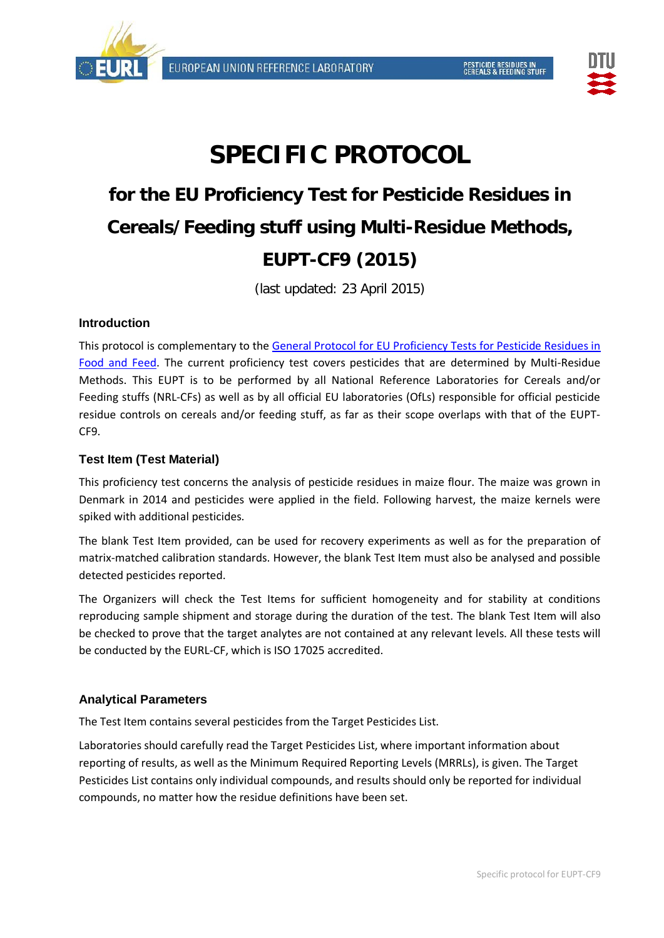



# **SPECIFIC PROTOCOL**

## **for the EU Proficiency Test for Pesticide Residues in Cereals/Feeding stuff using Multi-Residue Methods, EUPT-CF9 (2015)**

(last updated: 23 April 2015)

## **Introduction**

This protocol is complementary to the [General Protocol for EU Proficiency Tests for Pesticide Residues in](http://www.eurl-pesticides.eu/docs/public/tmplt_article.asp?CntID=821&LabID=100&Lang=EN)  [Food and Feed.](http://www.eurl-pesticides.eu/docs/public/tmplt_article.asp?CntID=821&LabID=100&Lang=EN) The current proficiency test covers pesticides that are determined by Multi-Residue Methods. This EUPT is to be performed by all National Reference Laboratories for Cereals and/or Feeding stuffs (NRL-CFs) as well as by all official EU laboratories (OfLs) responsible for official pesticide residue controls on cereals and/or feeding stuff, as far as their scope overlaps with that of the EUPT-CF9.

## **Test Item (Test Material)**

This proficiency test concerns the analysis of pesticide residues in maize flour. The maize was grown in Denmark in 2014 and pesticides were applied in the field. Following harvest, the maize kernels were spiked with additional pesticides.

The blank Test Item provided, can be used for recovery experiments as well as for the preparation of matrix-matched calibration standards. However, the blank Test Item must also be analysed and possible detected pesticides reported.

The Organizers will check the Test Items for sufficient homogeneity and for stability at conditions reproducing sample shipment and storage during the duration of the test. The blank Test Item will also be checked to prove that the target analytes are not contained at any relevant levels. All these tests will be conducted by the EURL-CF, which is ISO 17025 accredited.

## **Analytical Parameters**

The Test Item contains several pesticides from the [Target Pesticides List.](http://www.crl-pesticides.eu/library/docs/cf/EUPT_C5_SRM6_Target.pdf)

Laboratories should carefully read the Target Pesticides List, where important information about reporting of results, as well as the Minimum Required Reporting Levels (MRRLs), is given. The Target Pesticides List contains only individual compounds, and results should only be reported for individual compounds, no matter how the residue definitions have been set.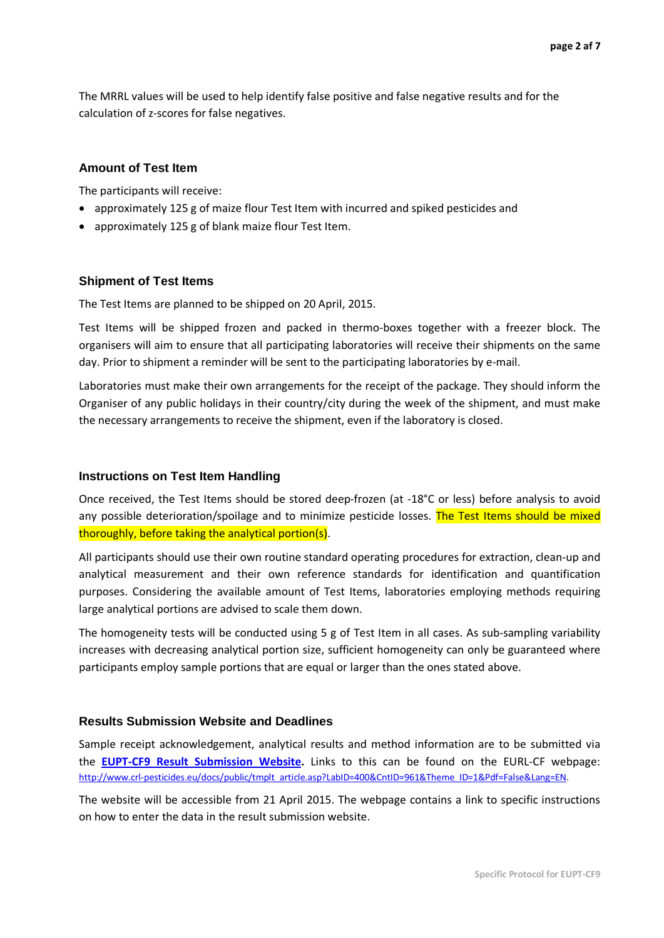The MRRL values will be used to help identify false positive and false negative results and for the calculation of z-scores for false negatives.

#### **Amount of Test Item**

The participants will receive:

- approximately 125 g of maize flour Test Item with incurred and spiked pesticides and
- approximately 125 g of blank maize flour Test Item.

#### **Shipment of Test Items**

The Test Items are planned to be shipped on 20 April, 2015.

Test Items will be shipped frozen and packed in thermo-boxes together with a freezer block. The organisers will aim to ensure that all participating laboratories will receive their shipments on the same day. Prior to shipment a reminder will be sent to the participating laboratories by e-mail.

Laboratories must make their own arrangements for the receipt of the package. They should inform the Organiser of any public holidays in their country/city during the week of the shipment, and must make the necessary arrangements to receive the shipment, even if the laboratory is closed.

#### **Instructions on Test Item Handling**

Once received, the Test Items should be stored deep-frozen (at -18°C or less) before analysis to avoid any possible deterioration/spoilage and to minimize pesticide losses. The Test Items should be mixed thoroughly, before taking the analytical portion(s).

All participants should use their own routine standard operating procedures for extraction, clean-up and analytical measurement and their own reference standards for identification and quantification purposes. Considering the available amount of Test Items, laboratories employing methods requiring large analytical portions are advised to scale them down.

The homogeneity tests will be conducted using 5 g of Test Item in all cases. As sub-sampling variability increases with decreasing analytical portion size, sufficient homogeneity can only be guaranteed where participants employ sample portions that are equal or larger than the ones stated above.

#### **Results Submission Website and Deadlines**

Sample receipt acknowledgement, analytical results and method information are to be submitted via the **EUPT-CF9 [Result Submission Website.](http://pesticides.food.dtu.dk/cf)** Links to this can be found on the EURL-CF webpage: [http://www.crl-pesticides.eu/docs/public/tmplt\\_article.asp?LabID=400&CntID=961&Theme\\_ID=1&Pdf=False&Lang=EN.](http://www.crl-pesticides.eu/docs/public/tmplt_article.asp?LabID=400&CntID=961&Theme_ID=1&Pdf=False&Lang=EN)

The website will be accessible from 21 April 2015. The webpage contains a link to specific instructions on how to enter the data in the result submission website.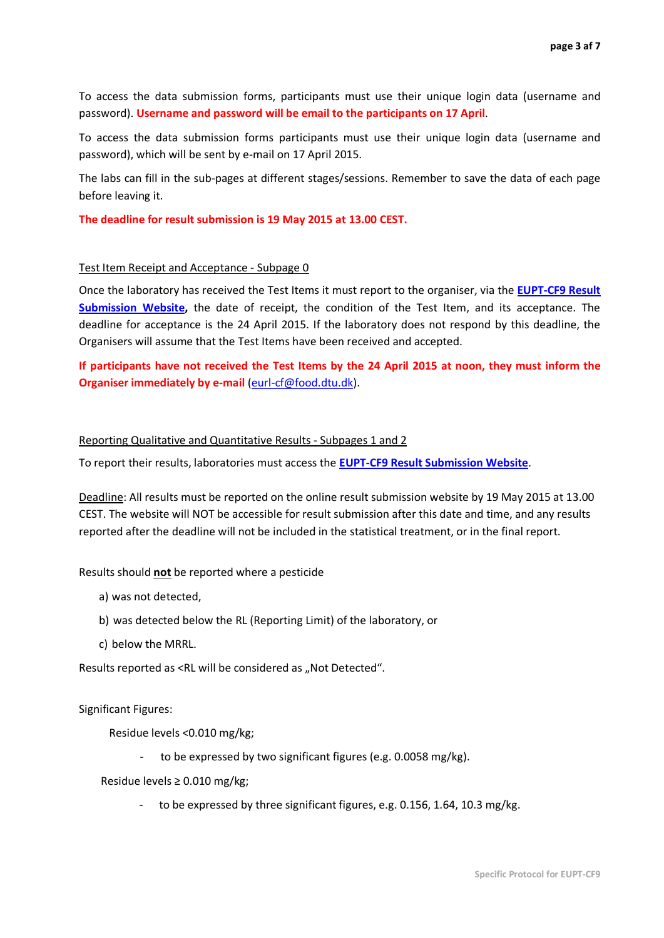To access the data submission forms, participants must use their unique login data (username and password). **Username and password will be email to the participants on 17 April**.

To access the data submission forms participants must use their unique login data (username and password), which will be sent by e-mail on 17 April 2015.

The labs can fill in the sub-pages at different stages/sessions. Remember to save the data of each page before leaving it.

**The deadline for result submission is 19 May 2015 at 13.00 CEST.**

#### Test Item Receipt and Acceptance - Subpage 0

Once the laboratory has received the Test Items it must report to the organiser, via the **[EUPT-CF9 Result](http://pesticides.food.dtu.dk/cf)  [Submission Website,](http://pesticides.food.dtu.dk/cf)** the date of receipt, the condition of the Test Item, and its acceptance. The deadline for acceptance is the 24 April 2015. If the laboratory does not respond by this deadline, the Organisers will assume that the Test Items have been received and accepted.

**If participants have not received the Test Items by the 24 April 2015 at noon, they must inform the Organiser immediately by e-mail** [\(eurl-cf@food.dtu.dk\)](mailto:eurl-cf@food.dtu.dk).

#### Reporting Qualitative and Quantitative Results - Subpages 1 and 2

To report their results, laboratories must access the **[EUPT-CF9 Result Submission Website](http://pesticides.food.dtu.dk/cf)**.

Deadline: All results must be reported on the online result submission website by 19 May 2015 at 13.00 CEST. The website will NOT be accessible for result submission after this date and time, and any results reported after the deadline will not be included in the statistical treatment, or in the final report.

#### Results should **not** be reported where a pesticide

- a) was not detected,
- b) was detected below the RL (Reporting Limit) of the laboratory, or
- c) below the MRRL.

Results reported as <RL will be considered as "Not Detected".

Significant Figures:

Residue levels <0.010 mg/kg;

to be expressed by two significant figures (e.g. 0.0058 mg/kg).

Residue levels ≥ 0.010 mg/kg;

to be expressed by three significant figures, e.g. 0.156, 1.64, 10.3 mg/kg.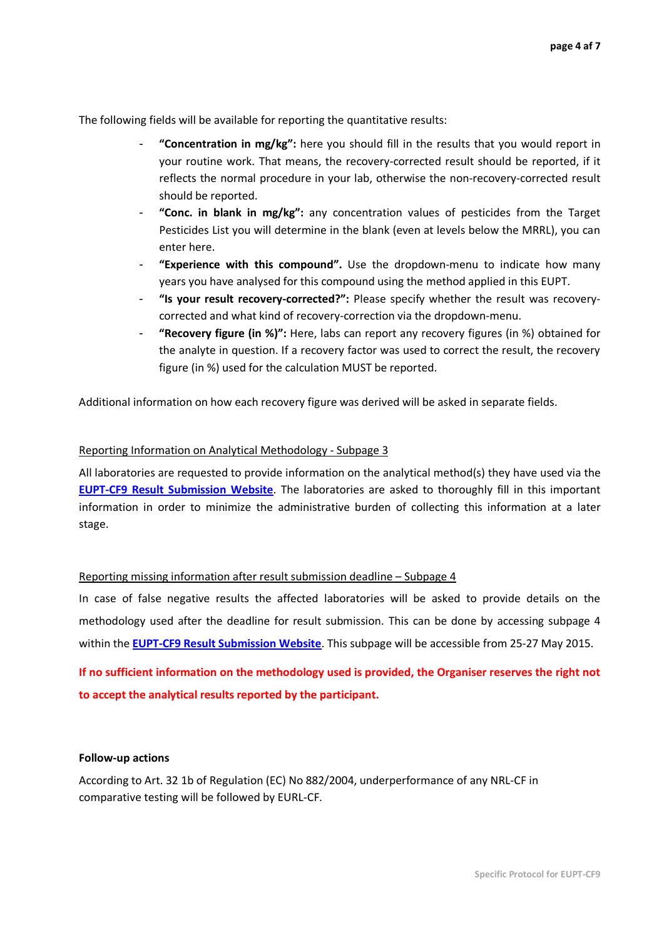The following fields will be available for reporting the quantitative results:

- **"Concentration in mg/kg":** here you should fill in the results that you would report in your routine work. That means, the recovery-corrected result should be reported, if it reflects the normal procedure in your lab, otherwise the non-recovery-corrected result should be reported.
- "Conc. in blank in mg/kg": any concentration values of pesticides from the Target Pesticides List you will determine in the blank (even at levels below the MRRL), you can enter here.
- **"Experience with this compound".** Use the dropdown-menu to indicate how many years you have analysed for this compound using the method applied in this EUPT.
- **"Is your result recovery-corrected?":** Please specify whether the result was recoverycorrected and what kind of recovery-correction via the dropdown-menu.
- **"Recovery figure (in %)":** Here, labs can report any recovery figures (in %) obtained for the analyte in question. If a recovery factor was used to correct the result, the recovery figure (in %) used for the calculation MUST be reported.

Additional information on how each recovery figure was derived will be asked in separate fields.

#### Reporting Information on Analytical Methodology - Subpage 3

All laboratories are requested to provide information on the analytical method(s) they have used via the **[EUPT-CF9 Result Submission Website](http://pesticides.food.dtu.dk/cf)**. The laboratories are asked to thoroughly fill in this important information in order to minimize the administrative burden of collecting this information at a later stage.

#### Reporting missing information after result submission deadline – Subpage 4

In case of false negative results the affected laboratories will be asked to provide details on the methodology used after the deadline for result submission. This can be done by accessing subpage 4 within the **[EUPT-CF9 Result Submission Website](http://pesticides.food.dtu.dk/cf)**. This subpage will be accessible from 25-27 May 2015.

**If no sufficient information on the methodology used is provided, the Organiser reserves the right not to accept the analytical results reported by the participant.**

#### **Follow-up actions**

According to Art. 32 1b of Regulation (EC) No 882/2004, underperformance of any NRL-CF in comparative testing will be followed by EURL-CF.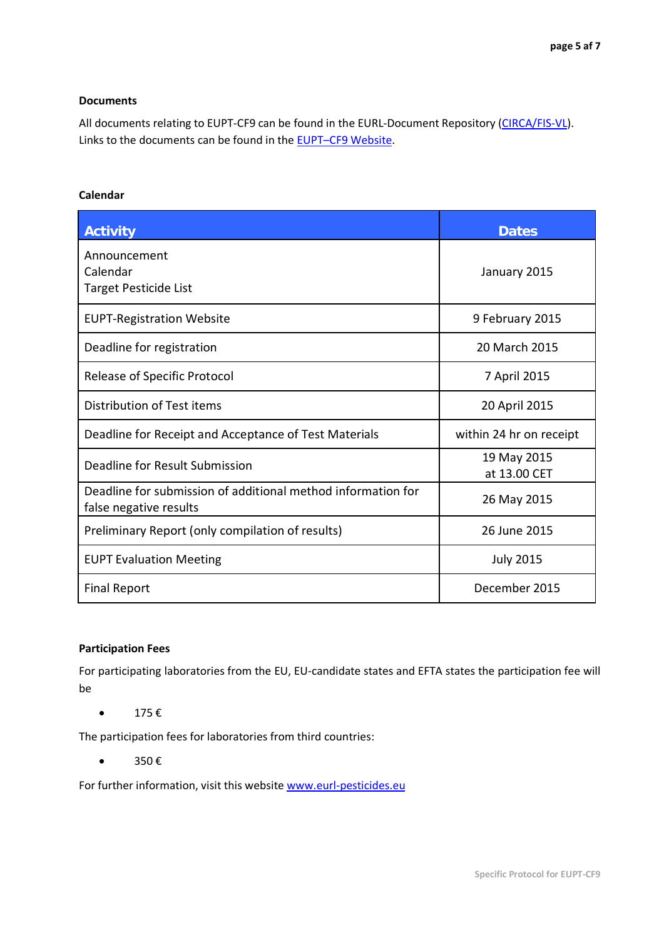#### **Documents**

All documents relating to EUPT-CF9 can be found in the EURL-Document Repository [\(CIRCA/FIS-VL\)](http://fis-vl.bund.de/Public/irc/fis-vl/Home/main). Links to the documents can be found in the [EUPT–CF9](http://www.eurl-pesticides.eu/docs/public/tmplt_article.asp?LabID=400&CntID=961&Theme_ID=1&Pdf=False&Lang=EN) Website.

## **Calendar**

| <b>Activity</b>                                                                        | <b>Dates</b>                |
|----------------------------------------------------------------------------------------|-----------------------------|
| Announcement<br>Calendar<br>Target Pesticide List                                      | January 2015                |
| <b>EUPT-Registration Website</b>                                                       | 9 February 2015             |
| Deadline for registration                                                              | 20 March 2015               |
| <b>Release of Specific Protocol</b>                                                    | 7 April 2015                |
| Distribution of Test items                                                             | 20 April 2015               |
| Deadline for Receipt and Acceptance of Test Materials                                  | within 24 hr on receipt     |
| Deadline for Result Submission                                                         | 19 May 2015<br>at 13.00 CET |
| Deadline for submission of additional method information for<br>false negative results | 26 May 2015                 |
| Preliminary Report (only compilation of results)                                       | 26 June 2015                |
| <b>EUPT Evaluation Meeting</b>                                                         | <b>July 2015</b>            |
| <b>Final Report</b>                                                                    | December 2015               |

#### **Participation Fees**

For participating laboratories from the EU, EU-candidate states and EFTA states the participation fee will be

•  $175 \text{ } \in$ 

The participation fees for laboratories from third countries:

 $\bullet$  350 €

For further information, visit this website [www.eurl-pesticides.eu](http://www.eurl-pesticides.eu/)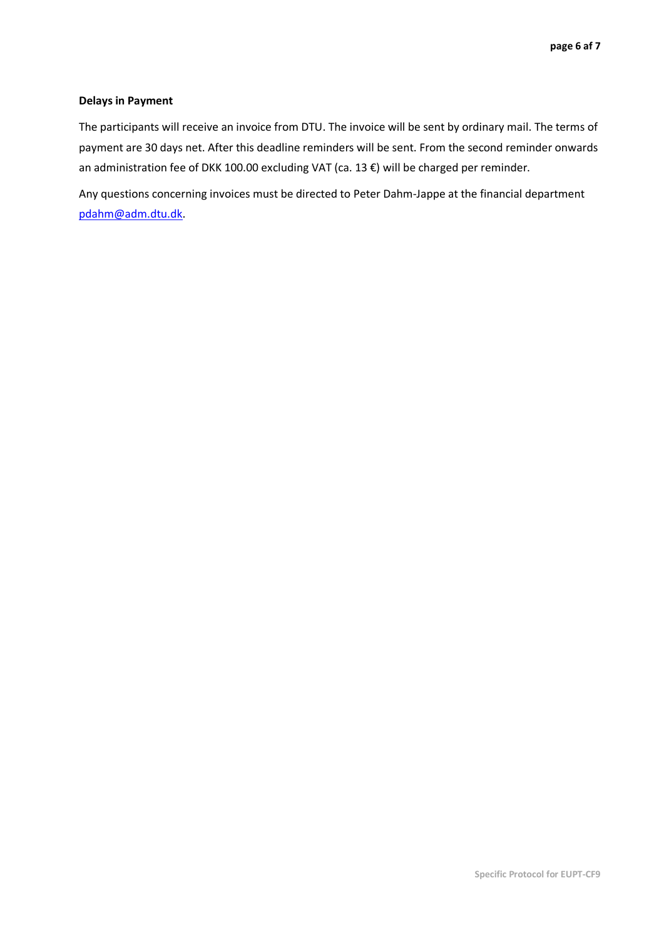#### **Delays in Payment**

The participants will receive an invoice from DTU. The invoice will be sent by ordinary mail. The terms of payment are 30 days net. After this deadline reminders will be sent. From the second reminder onwards an administration fee of DKK 100.00 excluding VAT (ca. 13 €) will be charged per reminder.

Any questions concerning invoices must be directed to Peter Dahm-Jappe at the financial department [pdahm@adm.dtu.dk.](mailto:pdahm@adm.dtu.dk)